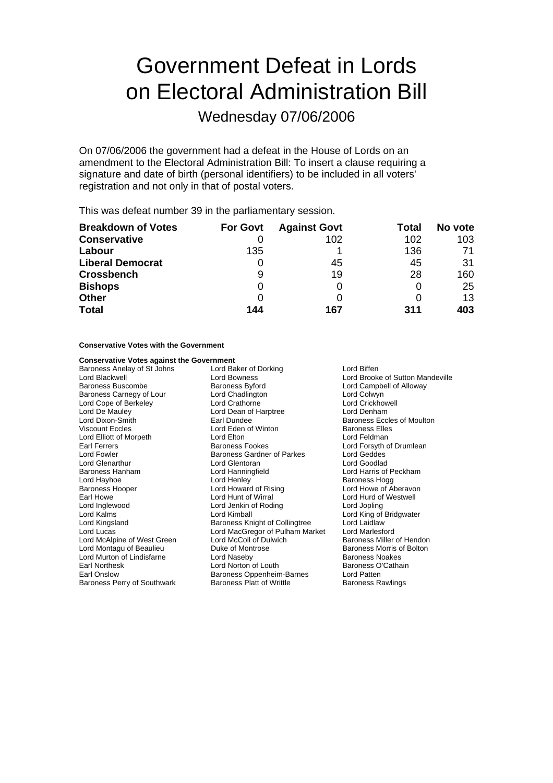# Government Defeat in Lords on Electoral Administration Bill

Wednesday 07/06/2006

On 07/06/2006 the government had a defeat in the House of Lords on an amendment to the Electoral Administration Bill: To insert a clause requiring a signature and date of birth (personal identifiers) to be included in all voters' registration and not only in that of postal voters.

This was defeat number 39 in the parliamentary session.

| <b>Breakdown of Votes</b> | <b>For Govt</b> | <b>Against Govt</b> | Total | No vote |
|---------------------------|-----------------|---------------------|-------|---------|
| <b>Conservative</b>       |                 | 102                 | 102   | 103     |
| Labour                    | 135             |                     | 136   | 71      |
| <b>Liberal Democrat</b>   |                 | 45                  | 45    | 31      |
| <b>Crossbench</b>         | 9               | 19                  | 28    | 160     |
| <b>Bishops</b>            |                 |                     |       | 25      |
| <b>Other</b>              |                 |                     |       | 13      |
| <b>Total</b>              | 144             | 167                 | 311   | 403     |

#### **Conservative Votes with the Government**

## **Conservative Votes against the Government**<br>Baroness Anelay of St Johns Lord Baker of Dorking

Lord Cope of Berkeley Lord Glenarthur Lord Montagu of Beaulieu **Duke of Montropse Baroness Montropse Baroness** Duke of Montrose Boltoness Montrose Boltoness Montrose Boltoness Montrose Boltoness Montrose Boltoness Montrose Boltoness Montrose Boltoness Montrose

Baroness Anelay of St Johns **Lord Baker of Dorking Container State** Lord Biffen Lord Blackwell **Lord Bowness** Lord Bowness Lord Brooke of Sutton Mandeville<br>
Baroness Buscombe **Baroness Butord** Baroness Box Lord Campbell of Alloway Baroness Byford **Baroness Byford** Lord Campbell of Alloway<br>
Lord Chadlington **Lord Colwyn** Baroness Carnegy of Lour Lord Chadlington Changes Carnegy of Lord Colwyn<br>
Lord Cope of Berkeley Coracthorne Coracthorne Coracter Lord Crickhowell Lord De Mauley **Lord Lord Dean of Harptree Lord Denham**<br>
Lord Dixon-Smith **Lord Lord Lord Dean Carl Dundee Lord Denham**<br>
Earl Dundee **Lord Dean Corporation** Lord Dixon-Smith **Earl Dundee** Earl Dundee **Baroness Eccles of Moulton**<br>
Viscount Eccles **Baroness Elles** Lord Eden of Winton Baroness Elles Lord Elliott of Morpeth Lord Elton Lord Elton Lord Elton Lord Feldman<br>
Earl Ferrers Context Baroness Fookes Lord Forsyth c Earl Ferrers **Earl Ferrers** Baroness Fookes **Lord Forsyth of Drumlean**<br>
Lord Fowler **Consumers Baroness Gardner of Parkes** Lord Geddes Lord Fowler Baroness Gardner of Parkes Lord Geddes Baroness Hanham Lord Hanningfield Lord Harris of Peckham Lord Hayhoe **Lord Henley** Lord Henley **Baroness Hogg Lord Hayhoe** Baroness Hogg Lord Howe of Aberavon Lord Howard of Rising Earl Howe Lord Hunt of Wirral Lord Hurd of Westwell Lord Inglew d oo Lord Jenkin of Roding Lord Jopling Lord Kalms Lord Kimball Lord King of Bridgwater Baroness Knight of Collingtree Lord Lucas Lord MacGregor of Pulham Market Lord Marlesford Lord McAlpine of West Green Lord McColl of Dulwich Baroness Miller of Hendon<br>
Lord Montagu of Beaulieu Duke of Montrose Baroness Morris of Bolton Lord Murton of Lindisfarne **Baroness Noakes** Lord Naseby **Baroness Noakes Baroness** Noakes Earl Northesk **Lord Norton of Louth Baroness O'Cathain**<br>
Earl Onslow **Baroness Obpenheim-Barnes** Lord Patten Baroness Oppenheim-Barnes Baroness Perry of Southwark **Baroness Platt of Writtle** Baroness Rawlings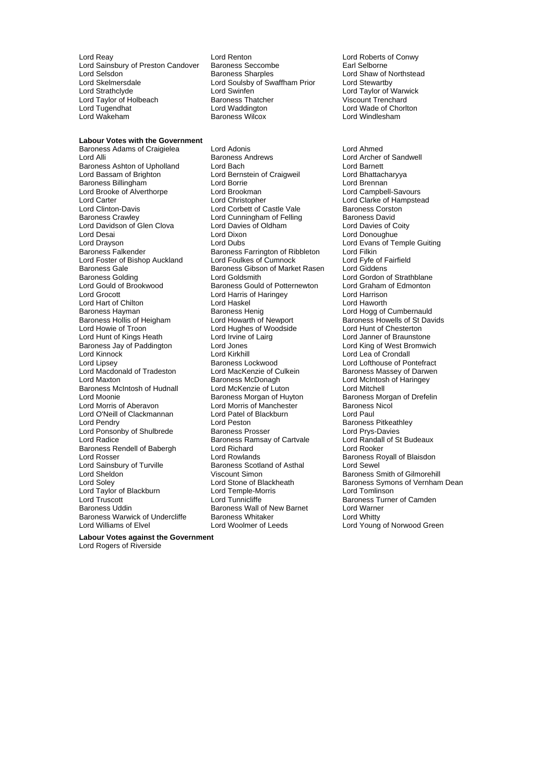Lord Reay Lord Renton Lord Roberts of Conwy Lord Sainsbury of Preston Candover Baroness Seccomb<br>Lord Selsdon Baroness Sharples Lord Selsdon **Contains Communist State Selection**<br>
Lord Skelmersdale **Lord Soulshy of Swaffham Prior** Lord Stewartby Lord Skelmersdale **Lord Soulsby of Swaffham Prior**<br>
Lord Strathclyde **Lord Swinfen** Lord Taylor of Holbeach Baroness Thatche<br>
Lord Tugendhat<br>
Lord Waddington Lord Tugendhat Lord Waddington Lord Wade of Chorlton Lord Wade of Chorlton Lord Wade of Chorlton Lord Wade of Chorlton Baroness Wilcox Lord Wade of Chorlton Lord Wade of Chorlton Lord Wade of Chorlton Baroness Wilcox

**Labour Votes with the Government** 

Lord Swinfen **Lord Taylor of Warwick**<br>
Baroness Thatcher **Lord Trenchard** Viscount Trenchard Baroness Wilcox

Baroness Ashton of Upholland Lord Bach Lord Barnett<br>
Lord Bassam of Brighton Lord Bernstein of Craigweil Lord Bhattacharyya Baroness Billingham **Lord Borrie Communist Communist Communist Communist Communist Communist Communist Communist**<br>Lord Brooke of Alverthorpe Lord Brook Lord Brookman Lord Campbell-Savours Lord Brooke of Alverthorpe Lord Carter **Lord Christopher** Lord Christopher Lord Clarke of Hampstead<br>
Lord Clarke of Hampstead<br>
Lord Corbett of Castle Vale Baroness Corston Lord Clinton-Davis **Lord Corbett of Castle Vale** Baroness Corstonance Corstoners Corstoners Corstoners Corstoner<br>
Lord Cunningham of Felling Baroness David Lord Davidson of Glen Clova Lord Davies of Oldham Lord Davies of Coity Lord Desai Lord Dixon Lord Donoughue Lord Drayson **Lord Dubs** Lord Dubs Lord Evans of Temple Guiting<br>
Baroness Falkender **Baroness Farrington** of Ribbleton Lord Filkin Lord Foster of Bishop Auckland Lord Foulkes of Cumnock Lord Fyfe of Faircroness Gale Cumnock Lord Giddens Baroness Gale <sup>1</sup><br>Baroness Golding **Baroness Gibson of Market Rasen**<br>Lord Goldsmith Baroness Golding **Collact Colding** Lord Goldsmith **Lord Gordon of Strathblane**<br>
Lord Gould of Brookwood **Baroness Gould of Potternewton** Lord Graham of Edmonton Lord Grocott Lord Harris of Haringey Lord Harrison Lord Hart of Chilton<br>
Baroness Hayman<br>
Baroness Henig Baroness Hayman **Baroness Henig** Baroness Henig Lord Hogg of Cumbernauld<br>Baroness Hollis of Heigham Lord Howarth of Newport Baroness Howells of St Dav Lord Howie of Troon **Lord Hughes of Woodside** Lord Hunt of Chesterton<br>
Lord Hunt of Kings Heath **Lord Lord Invine of Lairg** Lord Janner of Braunsto Baroness Jay of Paddington Lord Kinnoc k Lord Kirkhill Lord Lea of Crondall Lord Macdonald of Tradeston Lord MacKenzie of Culture<br>
Lord Maxton Baroness McDonagh Baroness McIntosh of Hudnall Cord McKenzie of Luton Cord Mitchell<br>Lord Moonie Cord Raroness Morgan of Huyton Baroness Mo Lord Moonie **Baroness Morgan of Huyton** Baroness Morgan of Drefelin<br>
Lord Morris of Aberavon **Baroness North** Lord Morris of Manchester **Baroness Nicol** Lord O'Neill of Clackmannan Lord Patel of Blackburn Lord Paul Lord Ponsonby of Shulbrede Baroness Prosser Baroness Proser Lord Prys-Davies<br>
Lord Radice **b Baroness Ramsay of Cartvale** Lord Randall of St Budeaux Baroness Rendell of Babergh Lord Richard Lord Rooker Lord Rosser **Lord Rowlands**<br>
Lord Sainsbury of Turville **Baroness Scotland of Asthal** Baroness Royall of Blaisdon Lord Sainsbury of Turville **Baroness Scotland of Asthal Lord Sheldon**<br>
Lord Sheldon **Viscount Simon** Lord Sheldon **Community Community Community** Viscount Simon Baroness Smith of Gilmorehill<br>
Lord Soley **Community Community Community Community Community Community Community Community Community Community** Lord Taylor of Blackburn and Lord Temple-Morris and Lord Tomlinson<br>1991 Lord Tunnicliffe Cord Tunnicliffe and Tomlinson Baroness Turne Lord Truscott **Lord Tunnicliffe** Exercise Corporation Camden<br>
Baroness Uddin Baroness Wall of New Barnet Lord Warner Baroness Warwick of Undercliffe Baroness Whitaker<br>
Lord Williams of Elvel Lord Woolmer of Leeds

Baroness Adams of Craigielea Lord Adonis Lord Ahmed Lord Bernstein of Craigweil **Lord Bhattach<br>
Lord Borrie** Lord Brennan Lord Cunningham of Felling Baroness Farrington of Ribbleton Lord Filkin<br>
Lord Foulkes of Cumnock Lord Fyfe of Fairfield Baroness Gould of Potternewton Lord Irvine of Lairg<br>
Lord Jones **Heath Lord Corporation**<br>
Lord King of West Bromwich Baroness Lockwood **Lord Lord Lofthouse of Pontefract**<br>
Lord MacKenzie of Culkein **Baroness Massey of Darwen** Lord Morris of Manchester<br>Lord Patel of Blackburn Lord Peston **Communist Communist Communist Pendry Baroness Pitkeathley**<br> **Lord Prvs-Davies** Baroness Ramsay of Cartvale Baroness Wall of New Barnet Lord Warner<br>Baroness Whitaker Lord Whitty

Lord Archer of Sandwell Baroness Howells of St Davids Lord McIntosh of Haringey Baroness Symons of Vernham Dean Lord Young of Norwood Green

**Labour Votes against the Government**

Lord Rogers of Riverside